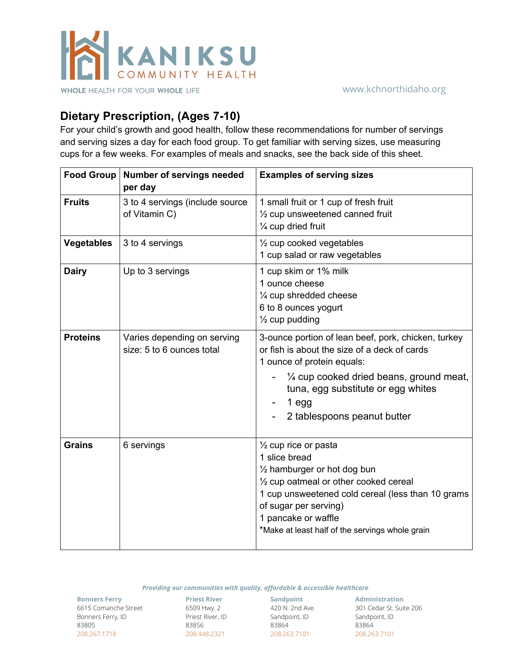

## **Dietary Prescription, (Ages 7-10)**

For your child's growth and good health, follow these recommendations for number of servings and serving sizes a day for each food group. To get familiar with serving sizes, use measuring cups for a few weeks. For examples of meals and snacks, see the back side of this sheet.

| Food Group        | <b>Number of servings needed</b><br>per day              | <b>Examples of serving sizes</b>                                                                                                                                                                                                                                                             |
|-------------------|----------------------------------------------------------|----------------------------------------------------------------------------------------------------------------------------------------------------------------------------------------------------------------------------------------------------------------------------------------------|
| <b>Fruits</b>     | 3 to 4 servings (include source<br>of Vitamin C)         | 1 small fruit or 1 cup of fresh fruit<br>$\frac{1}{2}$ cup unsweetened canned fruit<br>1/4 cup dried fruit                                                                                                                                                                                   |
| <b>Vegetables</b> | 3 to 4 servings                                          | $\frac{1}{2}$ cup cooked vegetables<br>1 cup salad or raw vegetables                                                                                                                                                                                                                         |
| <b>Dairy</b>      | Up to 3 servings                                         | 1 cup skim or 1% milk<br>1 ounce cheese<br>1/4 cup shredded cheese<br>6 to 8 ounces yogurt<br>$\frac{1}{2}$ cup pudding                                                                                                                                                                      |
| <b>Proteins</b>   | Varies depending on serving<br>size: 5 to 6 ounces total | 3-ounce portion of lean beef, pork, chicken, turkey<br>or fish is about the size of a deck of cards<br>1 ounce of protein equals:<br>$\frac{1}{4}$ cup cooked dried beans, ground meat,<br>tuna, egg substitute or egg whites<br>$1$ egg<br>2 tablespoons peanut butter                      |
| <b>Grains</b>     | 6 servings                                               | $\frac{1}{2}$ cup rice or pasta<br>1 slice bread<br>$\frac{1}{2}$ hamburger or hot dog bun<br>1/2 cup oatmeal or other cooked cereal<br>1 cup unsweetened cold cereal (less than 10 grams<br>of sugar per serving)<br>1 pancake or waffle<br>*Make at least half of the servings whole grain |

*Providing our communities with quality, affordable & accessible healthcare*

**Bonners Ferry** 6615 Comanche Street Bonners Ferry, ID 83805 208.267.1718

**Priest River** 6509 Hwy. 2 Priest River, ID 83856 208.448.2321

**Sandpoint** 420 N. 2nd Ave. Sandpoint, ID 83864 208.263.7101

**Administration** 301 Cedar St. Suite 206 Sandpoint, ID 83864 208.263.7101